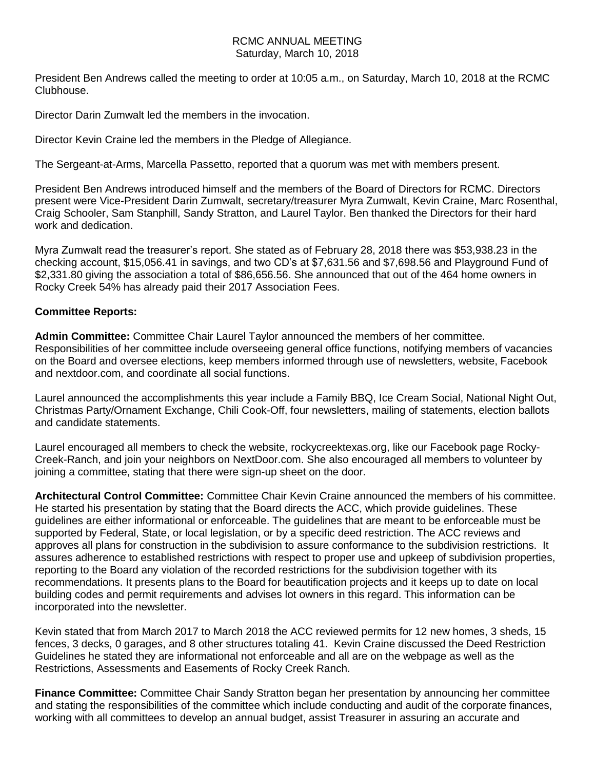## RCMC ANNUAL MEETING Saturday, March 10, 2018

President Ben Andrews called the meeting to order at 10:05 a.m., on Saturday, March 10, 2018 at the RCMC Clubhouse.

Director Darin Zumwalt led the members in the invocation.

Director Kevin Craine led the members in the Pledge of Allegiance.

The Sergeant-at-Arms, Marcella Passetto, reported that a quorum was met with members present.

President Ben Andrews introduced himself and the members of the Board of Directors for RCMC. Directors present were Vice-President Darin Zumwalt, secretary/treasurer Myra Zumwalt, Kevin Craine, Marc Rosenthal, Craig Schooler, Sam Stanphill, Sandy Stratton, and Laurel Taylor. Ben thanked the Directors for their hard work and dedication.

Myra Zumwalt read the treasurer's report. She stated as of February 28, 2018 there was \$53,938.23 in the checking account, \$15,056.41 in savings, and two CD's at \$7,631.56 and \$7,698.56 and Playground Fund of \$2,331.80 giving the association a total of \$86,656.56. She announced that out of the 464 home owners in Rocky Creek 54% has already paid their 2017 Association Fees.

## **Committee Reports:**

**Admin Committee:** Committee Chair Laurel Taylor announced the members of her committee. Responsibilities of her committee include overseeing general office functions, notifying members of vacancies on the Board and oversee elections, keep members informed through use of newsletters, website, Facebook and nextdoor.com, and coordinate all social functions.

Laurel announced the accomplishments this year include a Family BBQ, Ice Cream Social, National Night Out, Christmas Party/Ornament Exchange, Chili Cook-Off, four newsletters, mailing of statements, election ballots and candidate statements.

Laurel encouraged all members to check the website, rockycreektexas.org, like our Facebook page Rocky-Creek-Ranch, and join your neighbors on NextDoor.com. She also encouraged all members to volunteer by joining a committee, stating that there were sign-up sheet on the door.

**Architectural Control Committee:** Committee Chair Kevin Craine announced the members of his committee. He started his presentation by stating that the Board directs the ACC, which provide guidelines. These guidelines are either informational or enforceable. The guidelines that are meant to be enforceable must be supported by Federal, State, or local legislation, or by a specific deed restriction. The ACC reviews and approves all plans for construction in the subdivision to assure conformance to the subdivision restrictions. It assures adherence to established restrictions with respect to proper use and upkeep of subdivision properties, reporting to the Board any violation of the recorded restrictions for the subdivision together with its recommendations. It presents plans to the Board for beautification projects and it keeps up to date on local building codes and permit requirements and advises lot owners in this regard. This information can be incorporated into the newsletter.

Kevin stated that from March 2017 to March 2018 the ACC reviewed permits for 12 new homes, 3 sheds, 15 fences, 3 decks, 0 garages, and 8 other structures totaling 41. Kevin Craine discussed the Deed Restriction Guidelines he stated they are informational not enforceable and all are on the webpage as well as the Restrictions, Assessments and Easements of Rocky Creek Ranch.

**Finance Committee:** Committee Chair Sandy Stratton began her presentation by announcing her committee and stating the responsibilities of the committee which include conducting and audit of the corporate finances, working with all committees to develop an annual budget, assist Treasurer in assuring an accurate and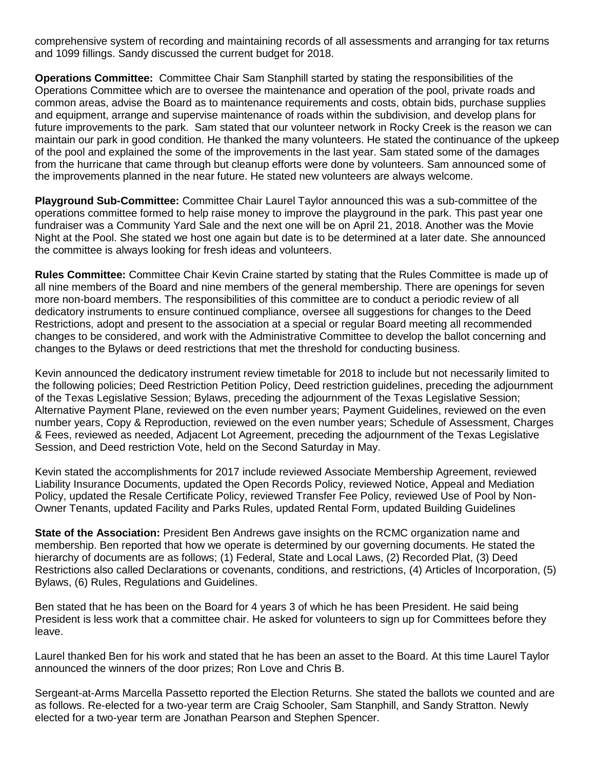comprehensive system of recording and maintaining records of all assessments and arranging for tax returns and 1099 fillings. Sandy discussed the current budget for 2018.

**Operations Committee:** Committee Chair Sam Stanphill started by stating the responsibilities of the Operations Committee which are to oversee the maintenance and operation of the pool, private roads and common areas, advise the Board as to maintenance requirements and costs, obtain bids, purchase supplies and equipment, arrange and supervise maintenance of roads within the subdivision, and develop plans for future improvements to the park. Sam stated that our volunteer network in Rocky Creek is the reason we can maintain our park in good condition. He thanked the many volunteers. He stated the continuance of the upkeep of the pool and explained the some of the improvements in the last year. Sam stated some of the damages from the hurricane that came through but cleanup efforts were done by volunteers. Sam announced some of the improvements planned in the near future. He stated new volunteers are always welcome.

**Playground Sub-Committee:** Committee Chair Laurel Taylor announced this was a sub-committee of the operations committee formed to help raise money to improve the playground in the park. This past year one fundraiser was a Community Yard Sale and the next one will be on April 21, 2018. Another was the Movie Night at the Pool. She stated we host one again but date is to be determined at a later date. She announced the committee is always looking for fresh ideas and volunteers.

**Rules Committee:** Committee Chair Kevin Craine started by stating that the Rules Committee is made up of all nine members of the Board and nine members of the general membership. There are openings for seven more non-board members. The responsibilities of this committee are to conduct a periodic review of all dedicatory instruments to ensure continued compliance, oversee all suggestions for changes to the Deed Restrictions, adopt and present to the association at a special or regular Board meeting all recommended changes to be considered, and work with the Administrative Committee to develop the ballot concerning and changes to the Bylaws or deed restrictions that met the threshold for conducting business.

Kevin announced the dedicatory instrument review timetable for 2018 to include but not necessarily limited to the following policies; Deed Restriction Petition Policy, Deed restriction guidelines, preceding the adjournment of the Texas Legislative Session; Bylaws, preceding the adjournment of the Texas Legislative Session; Alternative Payment Plane, reviewed on the even number years; Payment Guidelines, reviewed on the even number years, Copy & Reproduction, reviewed on the even number years; Schedule of Assessment, Charges & Fees, reviewed as needed, Adjacent Lot Agreement, preceding the adjournment of the Texas Legislative Session, and Deed restriction Vote, held on the Second Saturday in May.

Kevin stated the accomplishments for 2017 include reviewed Associate Membership Agreement, reviewed Liability Insurance Documents, updated the Open Records Policy, reviewed Notice, Appeal and Mediation Policy, updated the Resale Certificate Policy, reviewed Transfer Fee Policy, reviewed Use of Pool by Non-Owner Tenants, updated Facility and Parks Rules, updated Rental Form, updated Building Guidelines

**State of the Association:** President Ben Andrews gave insights on the RCMC organization name and membership. Ben reported that how we operate is determined by our governing documents. He stated the hierarchy of documents are as follows; (1) Federal, State and Local Laws, (2) Recorded Plat, (3) Deed Restrictions also called Declarations or covenants, conditions, and restrictions, (4) Articles of Incorporation, (5) Bylaws, (6) Rules, Regulations and Guidelines.

Ben stated that he has been on the Board for 4 years 3 of which he has been President. He said being President is less work that a committee chair. He asked for volunteers to sign up for Committees before they leave.

Laurel thanked Ben for his work and stated that he has been an asset to the Board. At this time Laurel Taylor announced the winners of the door prizes; Ron Love and Chris B.

Sergeant-at-Arms Marcella Passetto reported the Election Returns. She stated the ballots we counted and are as follows. Re-elected for a two-year term are Craig Schooler, Sam Stanphill, and Sandy Stratton. Newly elected for a two-year term are Jonathan Pearson and Stephen Spencer.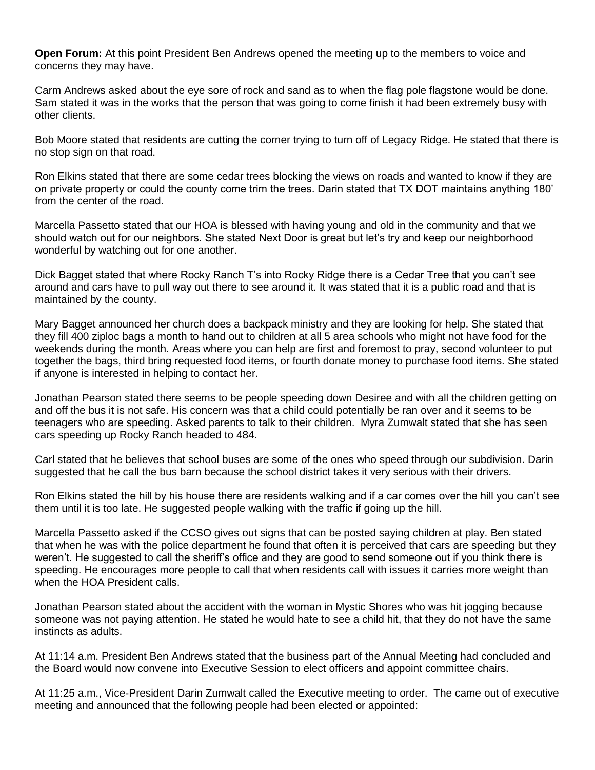**Open Forum:** At this point President Ben Andrews opened the meeting up to the members to voice and concerns they may have.

Carm Andrews asked about the eye sore of rock and sand as to when the flag pole flagstone would be done. Sam stated it was in the works that the person that was going to come finish it had been extremely busy with other clients.

Bob Moore stated that residents are cutting the corner trying to turn off of Legacy Ridge. He stated that there is no stop sign on that road.

Ron Elkins stated that there are some cedar trees blocking the views on roads and wanted to know if they are on private property or could the county come trim the trees. Darin stated that TX DOT maintains anything 180' from the center of the road.

Marcella Passetto stated that our HOA is blessed with having young and old in the community and that we should watch out for our neighbors. She stated Next Door is great but let's try and keep our neighborhood wonderful by watching out for one another.

Dick Bagget stated that where Rocky Ranch T's into Rocky Ridge there is a Cedar Tree that you can't see around and cars have to pull way out there to see around it. It was stated that it is a public road and that is maintained by the county.

Mary Bagget announced her church does a backpack ministry and they are looking for help. She stated that they fill 400 ziploc bags a month to hand out to children at all 5 area schools who might not have food for the weekends during the month. Areas where you can help are first and foremost to pray, second volunteer to put together the bags, third bring requested food items, or fourth donate money to purchase food items. She stated if anyone is interested in helping to contact her.

Jonathan Pearson stated there seems to be people speeding down Desiree and with all the children getting on and off the bus it is not safe. His concern was that a child could potentially be ran over and it seems to be teenagers who are speeding. Asked parents to talk to their children. Myra Zumwalt stated that she has seen cars speeding up Rocky Ranch headed to 484.

Carl stated that he believes that school buses are some of the ones who speed through our subdivision. Darin suggested that he call the bus barn because the school district takes it very serious with their drivers.

Ron Elkins stated the hill by his house there are residents walking and if a car comes over the hill you can't see them until it is too late. He suggested people walking with the traffic if going up the hill.

Marcella Passetto asked if the CCSO gives out signs that can be posted saying children at play. Ben stated that when he was with the police department he found that often it is perceived that cars are speeding but they weren't. He suggested to call the sheriff's office and they are good to send someone out if you think there is speeding. He encourages more people to call that when residents call with issues it carries more weight than when the HOA President calls.

Jonathan Pearson stated about the accident with the woman in Mystic Shores who was hit jogging because someone was not paying attention. He stated he would hate to see a child hit, that they do not have the same instincts as adults.

At 11:14 a.m. President Ben Andrews stated that the business part of the Annual Meeting had concluded and the Board would now convene into Executive Session to elect officers and appoint committee chairs.

At 11:25 a.m., Vice-President Darin Zumwalt called the Executive meeting to order. The came out of executive meeting and announced that the following people had been elected or appointed: